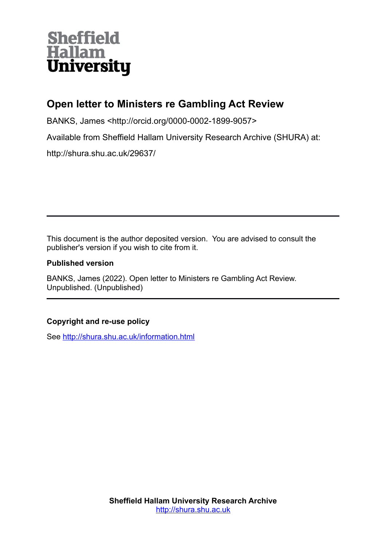# **Sheffield Hallam University**

# **Open letter to Ministers re Gambling Act Review**

BANKS, James <http://orcid.org/0000-0002-1899-9057>

Available from Sheffield Hallam University Research Archive (SHURA) at:

http://shura.shu.ac.uk/29637/

This document is the author deposited version. You are advised to consult the publisher's version if you wish to cite from it.

#### **Published version**

BANKS, James (2022). Open letter to Ministers re Gambling Act Review. Unpublished. (Unpublished)

#### **Copyright and re-use policy**

See<http://shura.shu.ac.uk/information.html>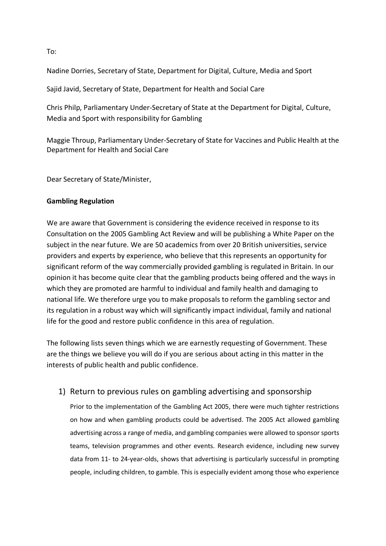Nadine Dorries, Secretary of State, Department for Digital, Culture, Media and Sport

Sajid Javid, Secretary of State, Department for Health and Social Care

Chris Philp, Parliamentary Under-Secretary of State at the Department for Digital, Culture, Media and Sport with responsibility for Gambling

Maggie Throup, Parliamentary Under-Secretary of State for Vaccines and Public Health at the Department for Health and Social Care

Dear Secretary of State/Minister,

#### **Gambling Regulation**

We are aware that Government is considering the evidence received in response to its Consultation on the 2005 Gambling Act Review and will be publishing a White Paper on the subject in the near future. We are 50 academics from over 20 British universities, service providers and experts by experience, who believe that this represents an opportunity for significant reform of the way commercially provided gambling is regulated in Britain. In our opinion it has become quite clear that the gambling products being offered and the ways in which they are promoted are harmful to individual and family health and damaging to national life. We therefore urge you to make proposals to reform the gambling sector and its regulation in a robust way which will significantly impact individual, family and national life for the good and restore public confidence in this area of regulation.

The following lists seven things which we are earnestly requesting of Government. These are the things we believe you will do if you are serious about acting in this matter in the interests of public health and public confidence.

#### 1) Return to previous rules on gambling advertising and sponsorship

Prior to the implementation of the Gambling Act 2005, there were much tighter restrictions on how and when gambling products could be advertised. The 2005 Act allowed gambling advertising across a range of media, and gambling companies were allowed to sponsor sports teams, television programmes and other events. Research evidence, including new survey data from 11- to 24-year-olds, shows that advertising is particularly successful in prompting people, including children, to gamble. This is especially evident among those who experience

To: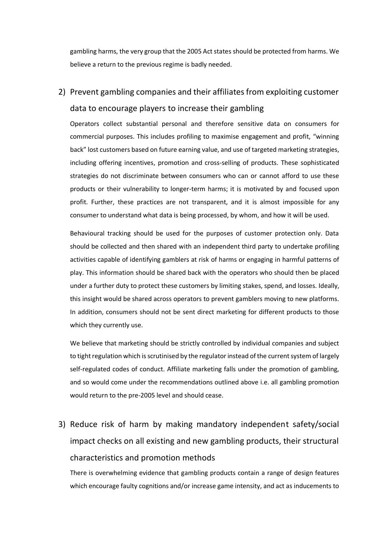gambling harms, the very group that the 2005 Act states should be protected from harms. We believe a return to the previous regime is badly needed.

# 2) Prevent gambling companies and their affiliates from exploiting customer data to encourage players to increase their gambling

Operators collect substantial personal and therefore sensitive data on consumers for commercial purposes. This includes profiling to maximise engagement and profit, "winning back" lost customers based on future earning value, and use of targeted marketing strategies, including offering incentives, promotion and cross-selling of products. These sophisticated strategies do not discriminate between consumers who can or cannot afford to use these products or their vulnerability to longer-term harms; it is motivated by and focused upon profit. Further, these practices are not transparent, and it is almost impossible for any consumer to understand what data is being processed, by whom, and how it will be used.

Behavioural tracking should be used for the purposes of customer protection only. Data should be collected and then shared with an independent third party to undertake profiling activities capable of identifying gamblers at risk of harms or engaging in harmful patterns of play. This information should be shared back with the operators who should then be placed under a further duty to protect these customers by limiting stakes, spend, and losses. Ideally, this insight would be shared across operators to prevent gamblers moving to new platforms. In addition, consumers should not be sent direct marketing for different products to those which they currently use.

We believe that marketing should be strictly controlled by individual companies and subject to tight regulation which is scrutinised by the regulator instead of the current system of largely self-regulated codes of conduct. Affiliate marketing falls under the promotion of gambling, and so would come under the recommendations outlined above i.e. all gambling promotion would return to the pre-2005 level and should cease.

3) Reduce risk of harm by making mandatory independent safety/social impact checks on all existing and new gambling products, their structural characteristics and promotion methods

There is overwhelming evidence that gambling products contain a range of design features which encourage faulty cognitions and/or increase game intensity, and act as inducements to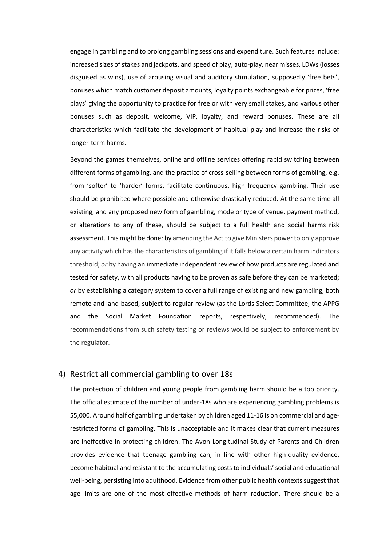engage in gambling and to prolong gambling sessions and expenditure. Such features include: increased sizes of stakes and jackpots, and speed of play, auto-play, near misses, LDWs (losses disguised as wins), use of arousing visual and auditory stimulation, supposedly 'free bets', bonuses which match customer deposit amounts, loyalty points exchangeable for prizes, 'free plays' giving the opportunity to practice for free or with very small stakes, and various other bonuses such as deposit, welcome, VIP, loyalty, and reward bonuses. These are all characteristics which facilitate the development of habitual play and increase the risks of longer-term harms.

Beyond the games themselves, online and offline services offering rapid switching between different forms of gambling, and the practice of cross-selling between forms of gambling, e.g. from 'softer' to 'harder' forms, facilitate continuous, high frequency gambling. Their use should be prohibited where possible and otherwise drastically reduced. At the same time all existing, and any proposed new form of gambling, mode or type of venue, payment method, or alterations to any of these, should be subject to a full health and social harms risk assessment. This might be done: by amending the Act to give Ministers power to only approve any activity which has the characteristics of gambling if it falls below a certain harm indicators threshold; *or* by having an immediate independent review of how products are regulated and tested for safety, with all products having to be proven as safe before they can be marketed; *or* by establishing a category system to cover a full range of existing and new gambling, both remote and land-based, subject to regular review (as the Lords Select Committee, the APPG and the Social Market Foundation reports, respectively, recommended). The recommendations from such safety testing or reviews would be subject to enforcement by the regulator.

#### 4) Restrict all commercial gambling to over 18s

The protection of children and young people from gambling harm should be a top priority. The official estimate of the number of under-18s who are experiencing gambling problems is 55,000. Around half of gambling undertaken by children aged 11-16 is on commercial and agerestricted forms of gambling. This is unacceptable and it makes clear that current measures are ineffective in protecting children. The Avon Longitudinal Study of Parents and Children provides evidence that teenage gambling can, in line with other high-quality evidence, become habitual and resistant to the accumulating costs to individuals' social and educational well-being, persisting into adulthood. Evidence from other public health contexts suggest that age limits are one of the most effective methods of harm reduction. There should be a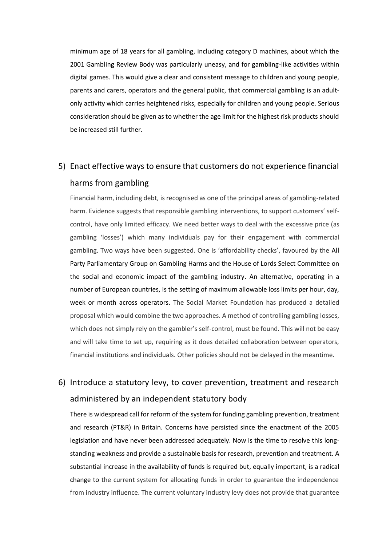minimum age of 18 years for all gambling, including category D machines, about which the 2001 Gambling Review Body was particularly uneasy, and for gambling-like activities within digital games. This would give a clear and consistent message to children and young people, parents and carers, operators and the general public, that commercial gambling is an adultonly activity which carries heightened risks, especially for children and young people. Serious consideration should be given as to whether the age limit for the highest risk products should be increased still further.

### 5) Enact effective ways to ensure that customers do not experience financial harms from gambling

Financial harm, including debt, is recognised as one of the principal areas of gambling-related harm. Evidence suggests that responsible gambling interventions, to support customers' selfcontrol, have only limited efficacy. We need better ways to deal with the excessive price (as gambling 'losses') which many individuals pay for their engagement with commercial gambling. Two ways have been suggested. One is 'affordability checks', favoured by the All Party Parliamentary Group on Gambling Harms and the House of Lords Select Committee on the social and economic impact of the gambling industry. An alternative, operating in a number of European countries, is the setting of maximum allowable loss limits per hour, day, week or month across operators. The Social Market Foundation has produced a detailed proposal which would combine the two approaches. A method of controlling gambling losses, which does not simply rely on the gambler's self-control, must be found. This will not be easy and will take time to set up, requiring as it does detailed collaboration between operators, financial institutions and individuals. Other policies should not be delayed in the meantime.

### 6) Introduce a statutory levy, to cover prevention, treatment and research administered by an independent statutory body

There is widespread call for reform of the system for funding gambling prevention, treatment and research (PT&R) in Britain. Concerns have persisted since the enactment of the 2005 legislation and have never been addressed adequately. Now is the time to resolve this longstanding weakness and provide a sustainable basis for research, prevention and treatment. A substantial increase in the availability of funds is required but, equally important, is a radical change to the current system for allocating funds in order to guarantee the independence from industry influence. The current voluntary industry levy does not provide that guarantee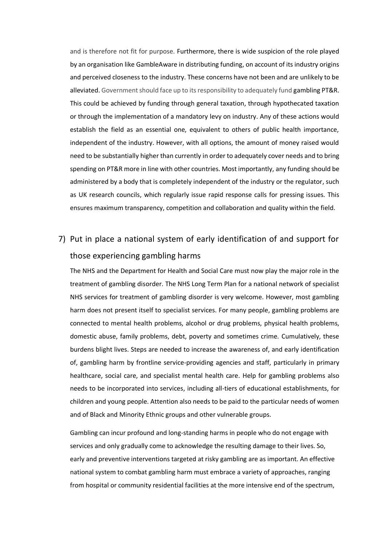and is therefore not fit for purpose. Furthermore, there is wide suspicion of the role played by an organisation like GambleAware in distributing funding, on account of its industry origins and perceived closeness to the industry. These concerns have not been and are unlikely to be alleviated. Government should face up to its responsibility to adequately fund gambling PT&R. This could be achieved by funding through general taxation, through hypothecated taxation or through the implementation of a mandatory levy on industry. Any of these actions would establish the field as an essential one, equivalent to others of public health importance, independent of the industry. However, with all options, the amount of money raised would need to be substantially higher than currently in order to adequately cover needs and to bring spending on PT&R more in line with other countries. Most importantly, any funding should be administered by a body that is completely independent of the industry or the regulator, such as UK research councils, which regularly issue rapid response calls for pressing issues. This ensures maximum transparency, competition and collaboration and quality within the field.

# 7) Put in place a national system of early identification of and support for those experiencing gambling harms

The NHS and the Department for Health and Social Care must now play the major role in the treatment of gambling disorder. The NHS Long Term Plan for a national network of specialist NHS services for treatment of gambling disorder is very welcome. However, most gambling harm does not present itself to specialist services. For many people, gambling problems are connected to mental health problems, alcohol or drug problems, physical health problems, domestic abuse, family problems, debt, poverty and sometimes crime. Cumulatively, these burdens blight lives. Steps are needed to increase the awareness of, and early identification of, gambling harm by frontline service-providing agencies and staff, particularly in primary healthcare, social care, and specialist mental health care. Help for gambling problems also needs to be incorporated into services, including all-tiers of educational establishments, for children and young people. Attention also needs to be paid to the particular needs of women and of Black and Minority Ethnic groups and other vulnerable groups.

Gambling can incur profound and long-standing harms in people who do not engage with services and only gradually come to acknowledge the resulting damage to their lives. So, early and preventive interventions targeted at risky gambling are as important. An effective national system to combat gambling harm must embrace a variety of approaches, ranging from hospital or community residential facilities at the more intensive end of the spectrum,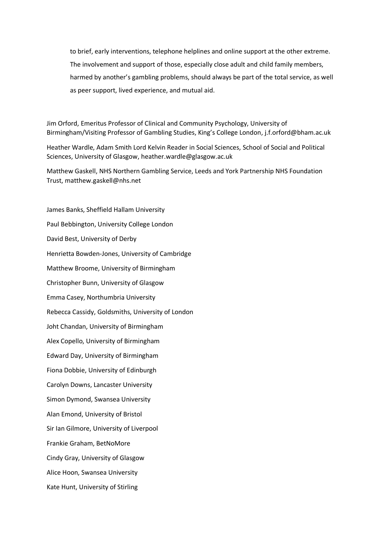to brief, early interventions, telephone helplines and online support at the other extreme. The involvement and support of those, especially close adult and child family members, harmed by another's gambling problems, should always be part of the total service, as well as peer support, lived experience, and mutual aid.

Jim Orford, Emeritus Professor of Clinical and Community Psychology, University of Birmingham/Visiting Professor of Gambling Studies, King's College London, [j.f.orford@bham.ac.uk](mailto:j.f.orford@bham.ac.uk)

Heather Wardle, Adam Smith Lord Kelvin Reader in Social Sciences, School of Social and Political Sciences, University of Glasgow, heather.wardle@glasgow.ac.uk

Matthew Gaskell, NHS Northern Gambling Service, Leeds and York Partnership NHS Foundation Trust, matthew.gaskell@nhs.net

James Banks, Sheffield Hallam University Paul Bebbington, University College London David Best, University of Derby Henrietta Bowden-Jones, University of Cambridge Matthew Broome, University of Birmingham Christopher Bunn, University of Glasgow Emma Casey, Northumbria University Rebecca Cassidy, Goldsmiths, University of London Joht Chandan, University of Birmingham Alex Copello, University of Birmingham Edward Day, University of Birmingham Fiona Dobbie, University of Edinburgh Carolyn Downs, Lancaster University Simon Dymond, Swansea University Alan Emond, University of Bristol Sir Ian Gilmore, University of Liverpool Frankie Graham, BetNoMore Cindy Gray, University of Glasgow Alice Hoon, Swansea University Kate Hunt, University of Stirling